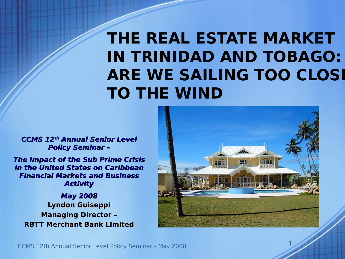# **THE REAL ESTATE MARKET IN TRINIDAD AND TOBAGO: ARE WE SAILING TOO CLOSE TO THE WIND**

**CCMS 12th Annual Senior Level Policy Seminar –**

**The Impact of the Sub Prime Crisis in the United States on Caribbean Financial Markets and Business Activity**

**Lyndon Guiseppi Managing Director – RBTT Merchant Bank Limited May 2008**

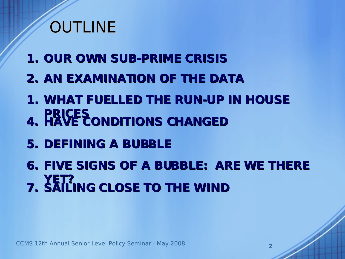# **OUTLINE**

- **1. OUR OWN SUB-PRIME CRISIS**
- **2. AN EXAMINATION OF THE DATA**
- **1. WHAT FUELLED THE RUN-UP IN HOUSE PRICES 4. HAVE CONDITIONS CHANGED**
- **5. DEFINING A BUBBLE**

**6. FIVE SIGNS OF A BUBBLE: ARE WE THERE YET? 7. SAILING CLOSE TO THE WIND**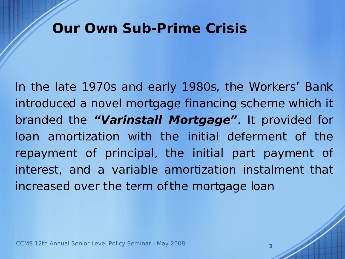#### **Our Own Sub-Prime Crisis**

In the late 1970s and early 1980s, the Workers' Bank introduced a novel mortgage financing scheme which it branded the **"Varinstall Mortgage"**. It provided for loan amortization with the initial deferment of the repayment of principal, the initial part payment of interest, and a variable amortization instalment that increased over the term of the mortgage loan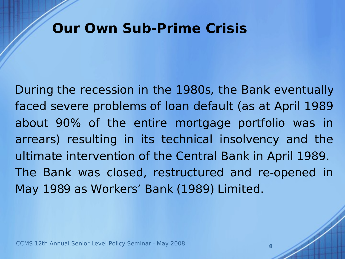#### **Our Own Sub-Prime Crisis**

During the recession in the 1980s, the Bank eventually faced severe problems of loan default (as at April 1989 about 90% of the entire mortgage portfolio was in arrears) resulting in its technical insolvency and the ultimate intervention of the Central Bank in April 1989. The Bank was closed, restructured and re-opened in May 1989 as Workers' Bank (1989) Limited.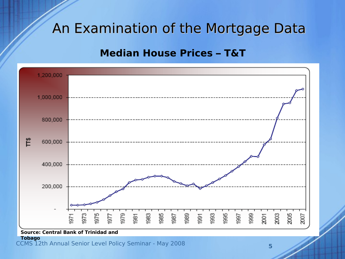#### **Median House Prices – T&T**

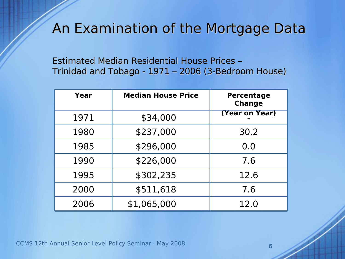Estimated Median Residential House Prices – Trinidad and Tobago - 1971 – 2006 (3-Bedroom House)

| Year | <b>Median House Price</b> | <b>Percentage</b><br><b>Change</b> |
|------|---------------------------|------------------------------------|
| 1971 | \$34,000                  | (Year on Year)                     |
| 1980 | \$237,000                 | 30.2                               |
| 1985 | \$296,000                 | 0.0                                |
| 1990 | \$226,000                 | 7.6                                |
| 1995 | \$302,235                 | 12.6                               |
| 2000 | \$511,618                 | 7.6                                |
| 2006 | \$1,065,000               | 12.0                               |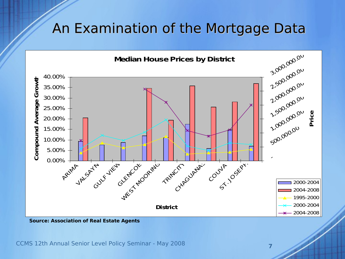

**Source: Association of Real Estate Agents**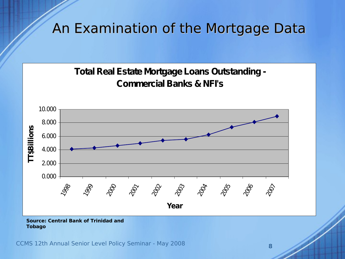



#### **Source: Central Bank of Trinidad and Tobago**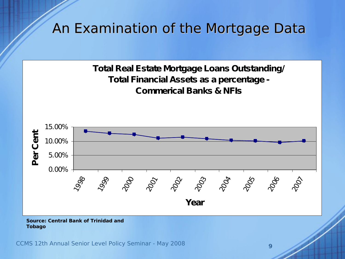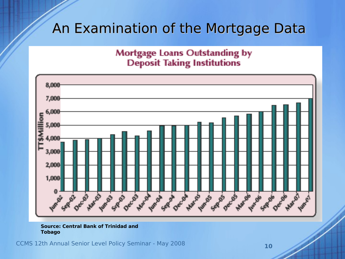# Mortgage Loans Outstanding by<br>Deposit Taking Institutions



#### **Source: Central Bank of Trinidad and Tobago**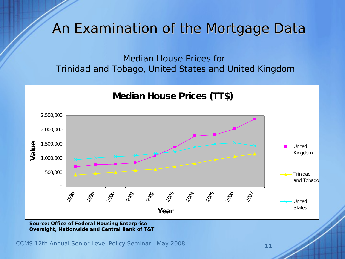Median House Prices for Trinidad and Tobago, United States and United Kingdom



**Source: Office of Federal Housing Enterprise Oversight, Nationwide and Central Bank of T&T**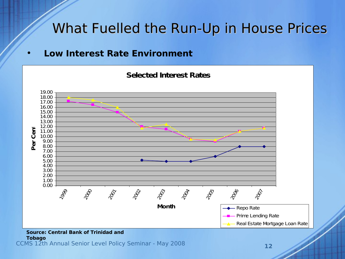• **Low Interest Rate Environment**



#### **Source: Central Bank of Trinidad and**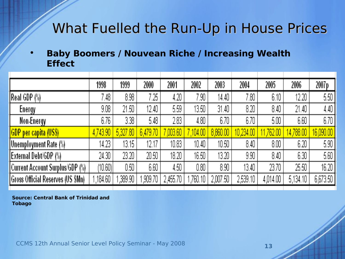#### • **Baby Boomers / Nouvean Riche / Increasing Wealth Effect**

|                                   | 1998     | 1999     | 2000     | 2001     | 2002               | 2003     | 2004      | 2005     | 2006      | 2007 p    |
|-----------------------------------|----------|----------|----------|----------|--------------------|----------|-----------|----------|-----------|-----------|
| Real GDP (%)                      | 7.48     | 8.98     | 7.25.    | 4.20     | 7.90.              | 14.40    | $7.80$ ,  | 6.10     | 12.20     | 5.50      |
| Energy                            | 9.08     | 21.50    | 12.40    | 5.59     | 13.50 <sub>1</sub> | 31.40    | 8.20      | 8.40     | 21.40     | 4.40      |
| Non-Energy                        | 6.76     | 3.38     | 5.48     | 2.83     | 4.80               | 6.70     | 6.70      | 5.00     | 6.60      | 6.70      |
| <b>GDP</b> per capita (US\$)      | 4,743.90 | 5,327.80 | 6,479.70 | ,003.60  | ,104.00            | 8,860.00 | 10,234.00 | 762.00   | 14,788.00 | 16,090.00 |
| <b>Unemployment Rate (%)</b>      | 14.23    | 13.15    | 12.17    | 10.83    | 10.40              | 10.50    | 8.40      | $8.00\,$ | 6.20      | 5.90      |
| External Debt/GDP (%)             | 24.30    | 23.20    | 20.50    | 18.20    | 16.50              | 13.20    | 9.90      | 8.40     | 6.30      | 5.60      |
| Current Account Surplus/GDP (%)   | (10.60)  | $0.50\,$ | 6.60     | 4.50     | 0.80               | 8.90     | 13.40     | 23.70    | 25.50     | 16.20     |
| Gross Official Reserves (US \$Mn) | ,184.60  | ,389.90  | ,909.70  | 2,455.70 | ,760.10            | 2,007.50 | 2,539.10  | 4,014.00 | 5,134.10  | 6,673.50  |
|                                   |          |          |          |          |                    |          |           |          |           |           |

**Source: Central Bank of Trinidad and Tobago**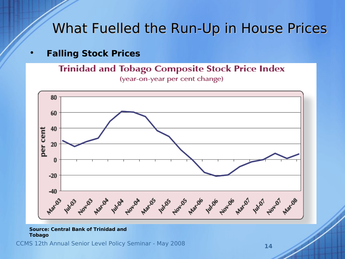#### • **Falling Stock Prices**

**Trinidad and Tobago Composite Stock Price Index** 

(year-on-year per cent change)



#### **Source: Central Bank of Trinidad and Tobago**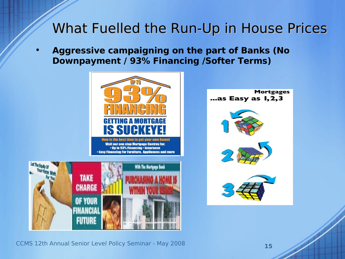• **Aggressive campaigning on the part of Banks (No Downpayment / 93% Financing /Softer Terms)**





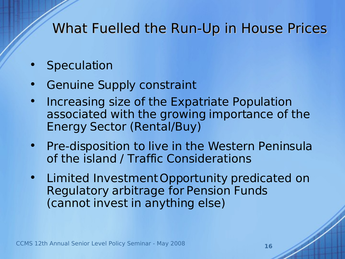- **Speculation**
- Genuine Supply constraint
- Increasing size of the Expatriate Population associated with the growing importance of the Energy Sector (Rental/Buy)
- Pre-disposition to live in the Western Peninsula of the island / Traffic Considerations
- Limited InvestmentOpportunity predicated on Regulatory arbitrage for Pension Funds (cannot invest in anything else)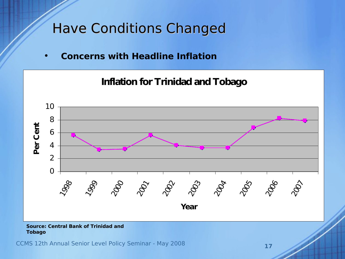## Have Conditions Changed

• **Concerns with Headline Inflation**



#### **Tobago**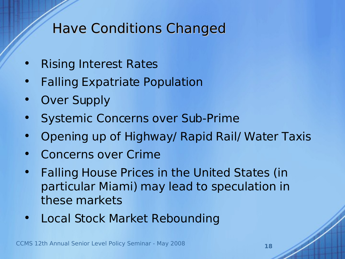## Have Conditions Changed

- Rising Interest Rates
- **Falling Expatriate Population**
- Over Supply
- Systemic Concerns over Sub-Prime
- Opening up of Highway/ Rapid Rail/ Water Taxis
- Concerns over Crime
- Falling House Prices in the United States (in particular Miami) may lead to speculation in these markets
- Local Stock Market Rebounding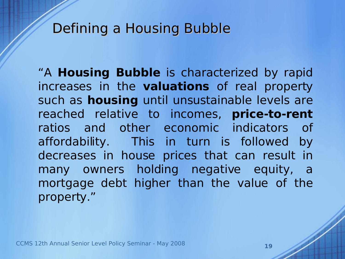#### Defining a Housing Bubble

"A **Housing Bubble** is characterized by rapid increases in the **valuations** of real property such as **housing** until unsustainable levels are reached relative to incomes, **price-to-rent** ratios and other economic indicators of affordability. This in turn is followed by decreases in house prices that can result in many owners holding negative equity, a mortgage debt higher than the value of the property."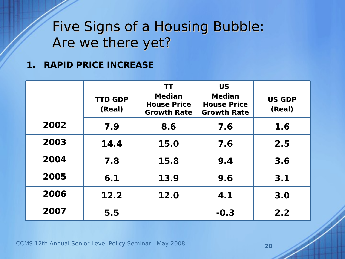#### **1. RAPID PRICE INCREASE**

|      | <b>TTD GDP</b><br>(Real) | <b>TT</b><br><b>Median</b><br><b>House Price</b><br><b>Growth Rate</b> | <b>US</b><br><b>Median</b><br><b>House Price</b><br><b>Growth Rate</b> | <b>US GDP</b><br>(Real) |
|------|--------------------------|------------------------------------------------------------------------|------------------------------------------------------------------------|-------------------------|
| 2002 | 7.9                      | 8.6                                                                    | 7.6                                                                    | 1.6                     |
| 2003 | 14.4                     | 15.0                                                                   | 7.6                                                                    | 2.5                     |
| 2004 | 7.8                      | 15.8                                                                   | 9.4                                                                    | 3.6                     |
| 2005 | 6.1                      | 13.9                                                                   | 9.6                                                                    | 3.1                     |
| 2006 | 12.2                     | 12.0                                                                   | 4.1                                                                    | 3.0                     |
| 2007 | 5.5                      |                                                                        | $-0.3$                                                                 | 2.2                     |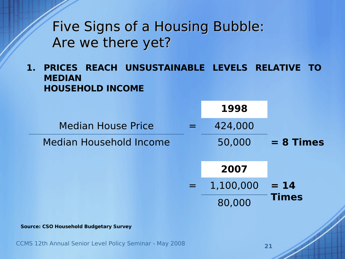**1. PRICES REACH UNSUSTAINABLE LEVELS RELATIVE TO MEDIAN HOUSEHOLD INCOME**

**= 14 Times = 8 Times** 80,000 = 1,100,000 **2007** Median Household Income 50,000 Median House Price  $\qquad \qquad = \qquad 424,000$ **1998**

**Source: CSO Household Budgetary Survey**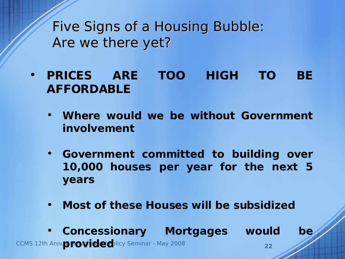- **PRICES ARE TOO HIGH TO BE AFFORDABLE**
	- **Where would we be without Government involvement**
	- **Government committed to building over 10,000 houses per year for the next 5 years**
	- **Most of these Houses will be subsidized**
- **CCMS 12th Annual Fowided** Nicy Seminar May 2008 **22** • **Concessionary Mortgages would be**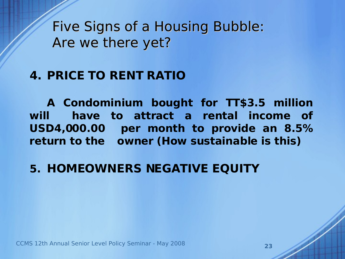#### **4. PRICE TO RENT RATIO**

**A Condominium bought for TT\$3.5 million will have to attract a rental income of USD4,000.00 per month to provide an 8.5% return to the owner (How sustainable is this)**

#### **5. HOMEOWNERS NEGATIVE EQUITY**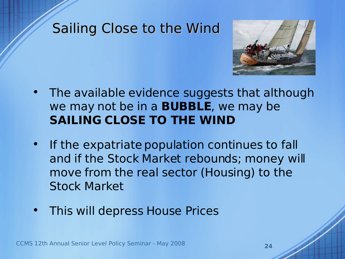#### Sailing Close to the Wind



- The available evidence suggests that although we may not be in a **BUBBLE**, we may be **SAILING CLOSE TO THE WIND**
- If the expatriate population continues to fall and if the Stock Market rebounds; money will move from the real sector (Housing) to the Stock Market
- This will depress House Prices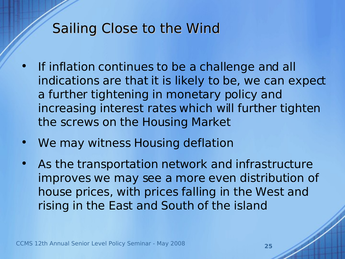### Sailing Close to the Wind

- If inflation continues to be a challenge and all indications are that it is likely to be, we can expect a further tightening in monetary policy and increasing interest rates which will further tighten the screws on the Housing Market
- We may witness Housing deflation
- As the transportation network and infrastructure improves we may see a more even distribution of house prices, with prices falling in the West and rising in the East and South of the island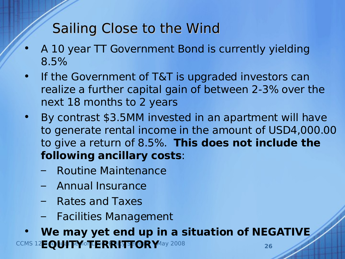# Sailing Close to the Wind

- A 10 year TT Government Bond is currently yielding 8.5%
- If the Government of T&T is upgraded investors can realize a further capital gain of between 2-3% over the next 18 months to 2 years
- By contrast \$3.5MM invested in an apartment will have to generate rental income in the amount of USD4,000.00 to give a return of 8.5%. **This does not include the following ancillary costs**:
	- Routine Maintenance
	- Annual Insurance
	- Rates and Taxes
	- Facilities Management

**CCMS 12EQUITY OTERRITTORY** May 2008 **26** • **We may yet end up in a situation of NEGATIVE**